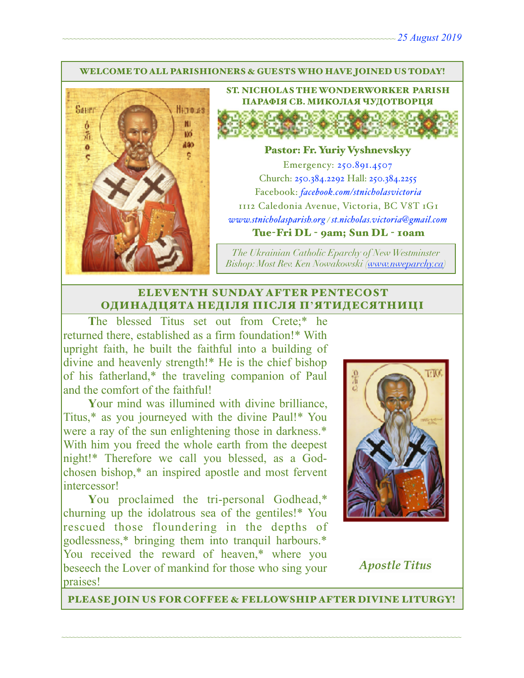#### WELCOME TO ALL PARISHIONERS & GUESTS WHO HAVE JOINED US TODAY!



ST. NICHOLAS THE WONDERWORKER PARISH ПАРАФІЯ СВ. МИКОЛАЯ ЧУДОТВОРЦЯ

#### Pastor: Fr. Yuriy Vyshnevskyy

Emergency: 250.891.4507 Church: 250.384.2292 Hall: 250.384.2255 Facebook: *[facebook.com/stnicholasvictoria](http://facebook.com/stnicholasvictoria)* 1112 Caledonia Avenue, Victoria, BC V8T 1G1 *[www.stnicholasparish.org](http://www.stnicholasparish.org) / [st.nicholas.victoria@gmail.com](mailto:st.nicholas.victoria@gmail.com)* Tue-Fri DL - 9am; Sun DL - 10am

*The Ukrainian Catholic Eparchy of New Westminster Bishop: Most Rev. Ken Nowakowski ([www.nweparchy.ca](http://www.nweparchy.ca))*

### ELEVENTH SUNDAY AFTER PENTECOST ОДИНАДЦЯТА НЕДІЛЯ ПІСЛЯ П**'**ЯТИДЕСЯТНИЦІ

**T**he blessed Titus set out from Crete;\* he returned there, established as a firm foundation!\* With upright faith, he built the faithful into a building of divine and heavenly strength!\* He is the chief bishop of his fatherland,\* the traveling companion of Paul and the comfort of the faithful!

**Y**our mind was illumined with divine brilliance, Titus,\* as you journeyed with the divine Paul!\* You were a ray of the sun enlightening those in darkness.\* With him you freed the whole earth from the deepest night!\* Therefore we call you blessed, as a Godchosen bishop,\* an inspired apostle and most fervent intercessor!

**Y**ou proclaimed the tri-personal Godhead,\* churning up the idolatrous sea of the gentiles!\* You rescued those floundering in the depths of godlessness,\* bringing them into tranquil harbours.\* You received the reward of heaven,\* where you beseech the Lover of mankind for those who sing your praises!



# *Apostle Titus*

PLEASE JOIN US FOR COFFEE & FELLOWSHIP AFTER DIVINE LITURGY!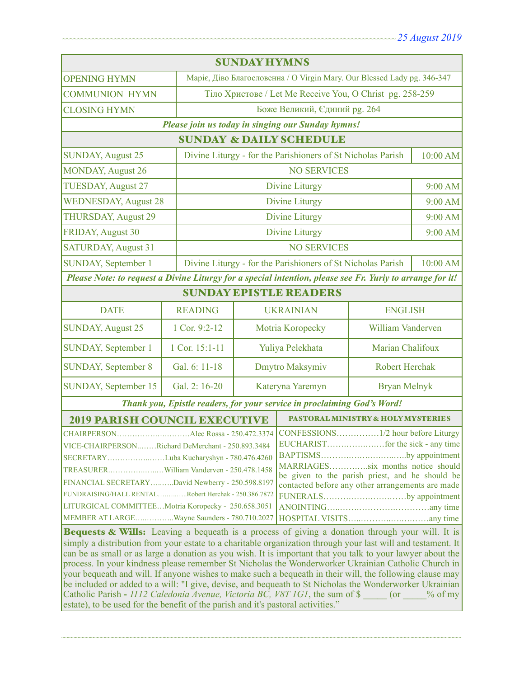| <b>SUNDAY HYMNS</b>                                                                                                                                                                                                                                                                                                                                                                                                                                                                                                                                                                                                                                                                                                                                 |                |                                                                         |                                               |                       |                   |  |
|-----------------------------------------------------------------------------------------------------------------------------------------------------------------------------------------------------------------------------------------------------------------------------------------------------------------------------------------------------------------------------------------------------------------------------------------------------------------------------------------------------------------------------------------------------------------------------------------------------------------------------------------------------------------------------------------------------------------------------------------------------|----------------|-------------------------------------------------------------------------|-----------------------------------------------|-----------------------|-------------------|--|
| <b>OPENING HYMN</b>                                                                                                                                                                                                                                                                                                                                                                                                                                                                                                                                                                                                                                                                                                                                 |                | Маріє, Діво Благословенна / О Virgin Mary. Our Blessed Lady pg. 346-347 |                                               |                       |                   |  |
| <b>COMMUNION HYMN</b>                                                                                                                                                                                                                                                                                                                                                                                                                                                                                                                                                                                                                                                                                                                               |                | Тіло Христове / Let Me Receive You, O Christ pg. 258-259                |                                               |                       |                   |  |
| <b>CLOSING HYMN</b>                                                                                                                                                                                                                                                                                                                                                                                                                                                                                                                                                                                                                                                                                                                                 |                | Боже Великий, Єдиний рg. 264                                            |                                               |                       |                   |  |
| Please join us today in singing our Sunday hymns!                                                                                                                                                                                                                                                                                                                                                                                                                                                                                                                                                                                                                                                                                                   |                |                                                                         |                                               |                       |                   |  |
| <b>SUNDAY &amp; DAILY SCHEDULE</b>                                                                                                                                                                                                                                                                                                                                                                                                                                                                                                                                                                                                                                                                                                                  |                |                                                                         |                                               |                       |                   |  |
| <b>SUNDAY, August 25</b>                                                                                                                                                                                                                                                                                                                                                                                                                                                                                                                                                                                                                                                                                                                            |                | Divine Liturgy - for the Parishioners of St Nicholas Parish             |                                               |                       | 10:00 AM          |  |
| <b>MONDAY, August 26</b>                                                                                                                                                                                                                                                                                                                                                                                                                                                                                                                                                                                                                                                                                                                            |                | <b>NO SERVICES</b>                                                      |                                               |                       |                   |  |
| <b>TUESDAY, August 27</b>                                                                                                                                                                                                                                                                                                                                                                                                                                                                                                                                                                                                                                                                                                                           |                | <b>Divine Liturgy</b>                                                   |                                               |                       | 9:00 AM           |  |
| <b>WEDNESDAY, August 28</b>                                                                                                                                                                                                                                                                                                                                                                                                                                                                                                                                                                                                                                                                                                                         |                | <b>Divine Liturgy</b>                                                   |                                               |                       | 9:00 AM           |  |
| <b>THURSDAY, August 29</b>                                                                                                                                                                                                                                                                                                                                                                                                                                                                                                                                                                                                                                                                                                                          |                | <b>Divine Liturgy</b>                                                   |                                               | 9:00 AM               |                   |  |
| FRIDAY, August 30                                                                                                                                                                                                                                                                                                                                                                                                                                                                                                                                                                                                                                                                                                                                   |                |                                                                         | <b>Divine Liturgy</b>                         |                       | 9:00 AM           |  |
| <b>SATURDAY, August 31</b>                                                                                                                                                                                                                                                                                                                                                                                                                                                                                                                                                                                                                                                                                                                          |                | <b>NO SERVICES</b>                                                      |                                               |                       |                   |  |
| <b>SUNDAY, September 1</b>                                                                                                                                                                                                                                                                                                                                                                                                                                                                                                                                                                                                                                                                                                                          |                | Divine Liturgy - for the Parishioners of St Nicholas Parish<br>10:00 AM |                                               |                       |                   |  |
| Please Note: to request a Divine Liturgy for a special intention, please see Fr. Yuriy to arrange for it!                                                                                                                                                                                                                                                                                                                                                                                                                                                                                                                                                                                                                                           |                |                                                                         |                                               |                       |                   |  |
| <b>SUNDAY EPISTLE READERS</b>                                                                                                                                                                                                                                                                                                                                                                                                                                                                                                                                                                                                                                                                                                                       |                |                                                                         |                                               |                       |                   |  |
| <b>DATE</b>                                                                                                                                                                                                                                                                                                                                                                                                                                                                                                                                                                                                                                                                                                                                         | <b>READING</b> | <b>UKRAINIAN</b>                                                        |                                               |                       | <b>ENGLISH</b>    |  |
| <b>SUNDAY, August 25</b>                                                                                                                                                                                                                                                                                                                                                                                                                                                                                                                                                                                                                                                                                                                            | 1 Cor. 9:2-12  | Motria Koropecky                                                        |                                               |                       | William Vanderven |  |
| SUNDAY, September 1                                                                                                                                                                                                                                                                                                                                                                                                                                                                                                                                                                                                                                                                                                                                 | 1 Cor. 15:1-11 | Yuliya Pelekhata                                                        |                                               | Marian Chalifoux      |                   |  |
| <b>SUNDAY, September 8</b>                                                                                                                                                                                                                                                                                                                                                                                                                                                                                                                                                                                                                                                                                                                          | Gal. 6: 11-18  | Dmytro Maksymiv                                                         |                                               | <b>Robert Herchak</b> |                   |  |
| SUNDAY, September 15                                                                                                                                                                                                                                                                                                                                                                                                                                                                                                                                                                                                                                                                                                                                | Gal. 2: 16-20  | Kateryna Yaremyn                                                        |                                               | <b>Bryan Melnyk</b>   |                   |  |
| Thank you, Epistle readers, for your service in proclaiming God's Word!                                                                                                                                                                                                                                                                                                                                                                                                                                                                                                                                                                                                                                                                             |                |                                                                         |                                               |                       |                   |  |
| <b>2019 PARISH COUNCIL EXECUTIVE</b>                                                                                                                                                                                                                                                                                                                                                                                                                                                                                                                                                                                                                                                                                                                |                |                                                                         | <b>PASTORAL MINISTRY &amp; HOLY MYSTERIES</b> |                       |                   |  |
| VICE-CHAIRPERSONRichard DeMerchant - 250.893.3484<br>BAPTISMSby appointment<br>SECRETARYLuba Kucharyshyn - 780.476.4260<br>MARRIAGESsix months notice should<br>be given to the parish priest, and he should be<br>FINANCIAL SECRETARYDavid Newberry - 250.598.8197<br>contacted before any other arrangements are made<br>FUNDRAISING/HALL RENTALRobert Herchak - 250.386.7872<br>FUNERALSby appointment<br>LITURGICAL COMMITTEEMotria Koropecky - 250.658.3051<br>MEMBER AT LARGEWayne Saunders - 780.710.2027<br>Bequests & Wills: Leaving a bequeath is a process of giving a donation through your will. It is                                                                                                                                 |                |                                                                         |                                               |                       |                   |  |
| simply a distribution from your estate to a charitable organization through your last will and testament. It<br>can be as small or as large a donation as you wish. It is important that you talk to your lawyer about the<br>process. In your kindness please remember St Nicholas the Wonderworker Ukrainian Catholic Church in<br>your bequeath and will. If anyone wishes to make such a bequeath in their will, the following clause may<br>be included or added to a will: "I give, devise, and bequeath to St Nicholas the Wonderworker Ukrainian<br>Catholic Parish - 1112 Caledonia Avenue, Victoria BC, V8T 1G1, the sum of \$<br>$%$ of my<br>$($ or<br>estate), to be used for the benefit of the parish and it's pastoral activities." |                |                                                                         |                                               |                       |                   |  |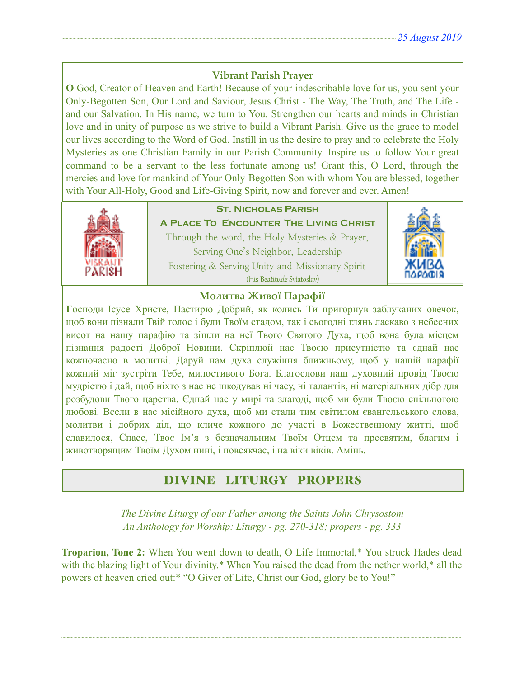### **Vibrant Parish Prayer**

**O** God, Creator of Heaven and Earth! Because of your indescribable love for us, you sent your Only-Begotten Son, Our Lord and Saviour, Jesus Christ - The Way, The Truth, and The Life and our Salvation. In His name, we turn to You. Strengthen our hearts and minds in Christian love and in unity of purpose as we strive to build a Vibrant Parish. Give us the grace to model our lives according to the Word of God. Instill in us the desire to pray and to celebrate the Holy Mysteries as one Christian Family in our Parish Community. Inspire us to follow Your great command to be a servant to the less fortunate among us! Grant this, O Lord, through the mercies and love for mankind of Your Only-Begotten Son with whom You are blessed, together with Your All-Holy, Good and Life-Giving Spirit, now and forever and ever. Amen!



## **St. Nicholas Parish**

**A Place To Encounter The Living Christ** Through the word, the Holy Mysteries & Prayer, Serving One's Neighbor, Leadership Fostering & Serving Unity and Missionary Spirit (His Beatitude Sviatoslav)



### **Молитва Живої Парафії**

**Г**осподи Ісусе Христе, Пастирю Добрий, як колись Ти пригорнув заблуканих овечок, щоб вони пізнали Твій голос і були Твоїм стадом, так і сьогодні глянь ласкаво з небесних висот на нашу парафію та зішли на неї Твого Святого Духа, щоб вона була місцем пізнання радості Доброї Новини. Скріплюй нас Твоєю присутністю та єднай нас кожночасно в молитві. Даруй нам духа служіння ближньому, щоб у нашій парафії кожний міг зустріти Тебе, милостивого Бога. Благослови наш духовний провід Твоєю мудрістю і дай, щоб ніхто з нас не шкодував ні часу, ні талантів, ні матеріальних дібр для розбудови Твого царства. Єднай нас у мирі та злагоді, щоб ми були Твоєю спільнотою любові. Всели в нас місійного духа, щоб ми стали тим світилом євангельського слова, молитви і добрих діл, що кличе кожного до участі в Божественному житті, щоб славилося, Спасе, Твоє Ім'я з безначальним Твоїм Отцем та пресвятим, благим і животворящим Твоїм Духом нині, і повсякчас, і на віки віків. Амінь.

# DIVINE LITURGY PROPERS

*The Divine Liturgy of our Father among the Saints John Chrysostom An Anthology for Worship: Liturgy - pg. 270-318; propers - pg. 333* 

**Troparion, Tone 2:** When You went down to death, O Life Immortal,\* You struck Hades dead with the blazing light of Your divinity.\* When You raised the dead from the nether world,\* all the powers of heaven cried out:\* "O Giver of Life, Christ our God, glory be to You!"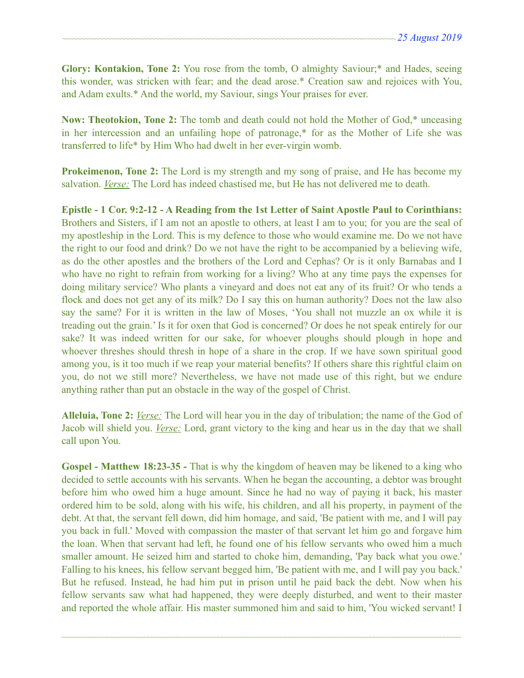**Glory: Kontakion, Tone 2:** You rose from the tomb, O almighty Saviour;\* and Hades, seeing this wonder, was stricken with fear; and the dead arose.\* Creation saw and rejoices with You, and Adam exults.\* And the world, my Saviour, sings Your praises for ever.

**Now: Theotokion, Tone 2:** The tomb and death could not hold the Mother of God,\* unceasing in her intercession and an unfailing hope of patronage,\* for as the Mother of Life she was transferred to life\* by Him Who had dwelt in her ever-virgin womb.

**Prokeimenon, Tone 2:** The Lord is my strength and my song of praise, and He has become my salvation. *Verse:* The Lord has indeed chastised me, but He has not delivered me to death.

**Epistle - 1 Cor. 9:2-12 - A Reading from the 1st Letter of Saint Apostle Paul to Corinthians:**  Brothers and Sisters, if I am not an apostle to others, at least I am to you; for you are the seal of my apostleship in the Lord. This is my defence to those who would examine me. Do we not have the right to our food and drink? Do we not have the right to be accompanied by a believing wife, as do the other apostles and the brothers of the Lord and Cephas? Or is it only Barnabas and I who have no right to refrain from working for a living? Who at any time pays the expenses for doing military service? Who plants a vineyard and does not eat any of its fruit? Or who tends a flock and does not get any of its milk? Do I say this on human authority? Does not the law also say the same? For it is written in the law of Moses, 'You shall not muzzle an ox while it is treading out the grain.' Is it for oxen that God is concerned? Or does he not speak entirely for our sake? It was indeed written for our sake, for whoever ploughs should plough in hope and whoever threshes should thresh in hope of a share in the crop. If we have sown spiritual good among you, is it too much if we reap your material benefits? If others share this rightful claim on you, do not we still more? Nevertheless, we have not made use of this right, but we endure anything rather than put an obstacle in the way of the gospel of Christ.

**Alleluia, Tone 2:** *Verse:* The Lord will hear you in the day of tribulation; the name of the God of Jacob will shield you. *Verse:* Lord, grant victory to the king and hear us in the day that we shall call upon You.

**Gospel - Matthew 18:23-35 -** That is why the kingdom of heaven may be likened to a king who decided to settle accounts with his servants. When he began the accounting, a debtor was brought before him who owed him a huge amount. Since he had no way of paying it back, his master ordered him to be sold, along with his wife, his children, and all his property, in payment of the debt. At that, the servant fell down, did him homage, and said, 'Be patient with me, and I will pay you back in full.' Moved with compassion the master of that servant let him go and forgave him the loan. When that servant had left, he found one of his fellow servants who owed him a much smaller amount. He seized him and started to choke him, demanding, 'Pay back what you owe.' Falling to his knees, his fellow servant begged him, 'Be patient with me, and I will pay you back.' But he refused. Instead, he had him put in prison until he paid back the debt. Now when his fellow servants saw what had happened, they were deeply disturbed, and went to their master and reported the whole affair. His master summoned him and said to him, 'You wicked servant! I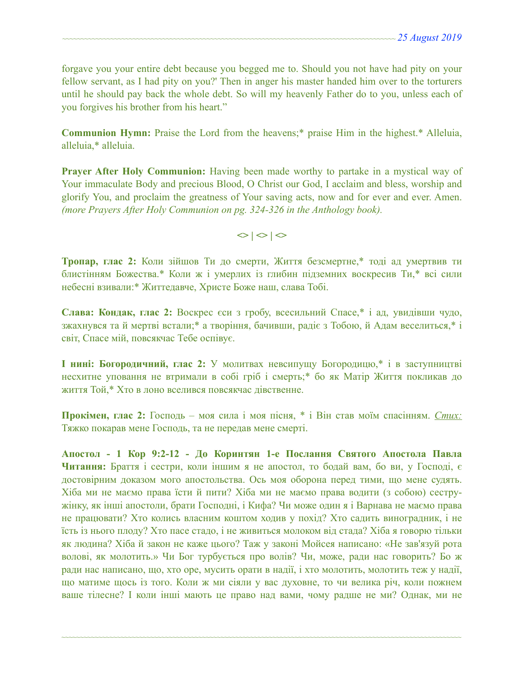forgave you your entire debt because you begged me to. Should you not have had pity on your fellow servant, as I had pity on you?' Then in anger his master handed him over to the torturers until he should pay back the whole debt. So will my heavenly Father do to you, unless each of you forgives his brother from his heart."

**Communion Hymn:** Praise the Lord from the heavens;\* praise Him in the highest.\* Alleluia, alleluia,\* alleluia.

**Prayer After Holy Communion:** Having been made worthy to partake in a mystical way of Your immaculate Body and precious Blood, O Christ our God, I acclaim and bless, worship and glorify You, and proclaim the greatness of Your saving acts, now and for ever and ever. Amen. *(more Prayers After Holy Communion on pg. 324-326 in the Anthology book).* 

 $\left| \diamond \right| \diamond \left| \diamond \right|$ 

**Тропар, глас 2:** Коли зійшов Ти до смерти, Життя безсмертне,\* тоді ад умертвив ти блистінням Божества.\* Коли ж і умерлих із глибин підземних воскресив Ти,\* всі сили небесні взивали:\* Життедавче, Христе Боже наш, слава Тобі.

**Слава: Кондак, глас 2:** Воскрес єси з гробу, всесильний Спасе,\* і ад, увидівши чудо, зжахнувся та й мертві встали;\* а творіння, бачивши, радіє з Тобою, й Адам веселиться,\* і світ, Спасе мій, повсякчас Тебе оспівує.

**І нині: Богородичний, глас 2:** У молитвах невсипущу Богородицю,\* і в заступництві несхитне уповання не втримали в собі гріб і смерть;\* бо як Матір Життя покликав до життя Той,\* Хто в лоно вселився повсякчас дівственне.

**Прокімен, глас 2:** Господь – моя сила і моя пісня, \* і Він став моїм спасінням. *Стих:* Тяжко покарав мене Господь, та не передав мене смерті.

**Апостол - 1 Кор 9:2-12 - До Коринтян 1-e Послання Святого Апостола Павла Читання:** Браття і сестри, коли іншим я не апостол, то бодай вам, бо ви, у Господі, є достовірним доказом мого апостольства. Ось моя оборона перед тими, що мене судять. Хіба ми не маємо права їсти й пити? Хіба ми не маємо права водити (з собою) сестружінку, як інші апостоли, брати Господні, і Кифа? Чи може один я і Варнава не маємо права не працювати? Хто колись власним коштом ходив у похід? Хто садить виноградник, і не їсть із нього плоду? Хто пасе стадо, і не живиться молоком від стада? Хіба я говорю тільки як людина? Хіба й закон не каже цього? Таж у законі Мойсея написано: «Не зав'язуй рота волові, як молотить.» Чи Бог турбується про волів? Чи, може, ради нас говорить? Бо ж ради нас написано, що, хто оре, мусить орати в надії, і хто молотить, молотить теж у надії, що матиме щось із того. Коли ж ми сіяли у вас духовне, то чи велика річ, коли пожнем ваше тілесне? І коли інші мають це право над вами, чому радше не ми? Однак, ми не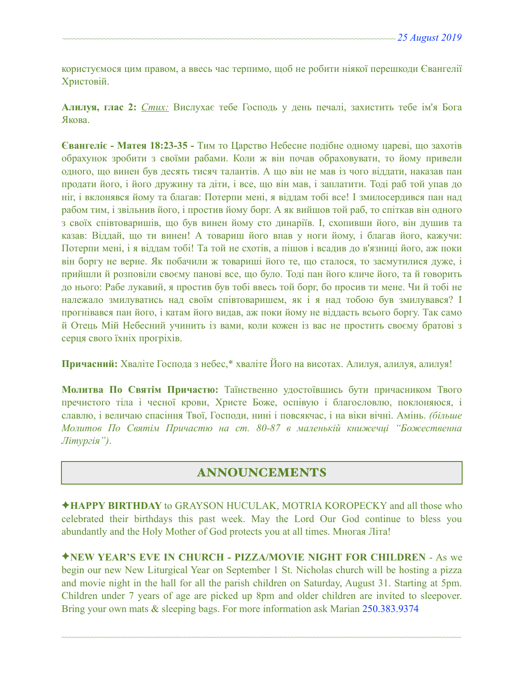користуємося цим правом, а ввесь час терпимо, щоб не робити ніякої перешкоди Євангелії Христовій.

**Алилуя, глас 2:** *Стих:* Вислухає тебе Господь у день печалі, захистить тебе ім'я Бога Якова.

**Євангеліє - Матея 18:23-35 -** Тим то Царство Небесне подібне одному цареві, що захотів обрахунок зробити з своїми рабами. Коли ж він почав обраховувати, то йому привели одного, що винен був десять тисяч талантів. А що він не мав із чого віддати, наказав пан продати його, і його дружину та діти, і все, що він мав, і заплатити. Тоді раб той упав до ніг, і вклонявся йому та благав: Потерпи мені, я віддам тобі все! І змилосердився пан над рабом тим, і звільнив його, і простив йому борг. А як вийшов той раб, то спіткав він одного з своїх співтоваришів, що був винен йому сто динаріїв. І, схопивши його, він душив та казав: Віддай, що ти винен! А товариш його впав у ноги йому, і благав його, кажучи: Потерпи мені, і я віддам тобі! Та той не схотів, а пішов і всадив до в'язниці його, аж поки він боргу не верне. Як побачили ж товариші його те, що сталося, то засмутилися дуже, і прийшли й розповіли своєму панові все, що було. Тоді пан його кличе його, та й говорить до нього: Рабе лукавий, я простив був тобі ввесь той борг, бо просив ти мене. Чи й тобі не належало змилуватись над своїм співтоваришем, як і я над тобою був змилувався? І прогнівався пан його, і катам його видав, аж поки йому не віддасть всього боргу. Так само й Отець Мій Небесний учинить із вами, коли кожен із вас не простить своєму братові з серця свого їхніх прогріхів.

**Причасний:** Хваліте Господа з небес,\* хваліте Його на висотах. Алилуя, алилуя, алилуя!

**Молитва По Святім Причастю:** Таїнственно удостоївшись бути причасником Твого пречистого тіла і чесної крови, Христе Боже, оспівую і благословлю, поклоняюся, і славлю, і величаю спасіння Твої, Господи, нині і повсякчас, і на віки вічні. Амінь. *(більше Молитов По Святім Причастю на ст. 80-87 в маленькій книжечці "Божественна Літургія")*.

# ANNOUNCEMENTS

✦**HAPPY BIRTHDAY** to GRAYSON HUCULAK, MOTRIA KOROPECKY and all those who celebrated their birthdays this past week. May the Lord Our God continue to bless you abundantly and the Holy Mother of God protects you at all times. Многая Літа!

✦**NEW YEAR'S EVE IN CHURCH - PIZZA/MOVIE NIGHT FOR CHILDREN** - As we begin our new New Liturgical Year on September 1 St. Nicholas church will be hosting a pizza and movie night in the hall for all the parish children on Saturday, August 31. Starting at 5pm. Children under 7 years of age are picked up 8pm and older children are invited to sleepover. Bring your own mats & sleeping bags. For more information ask Marian 250.383.9374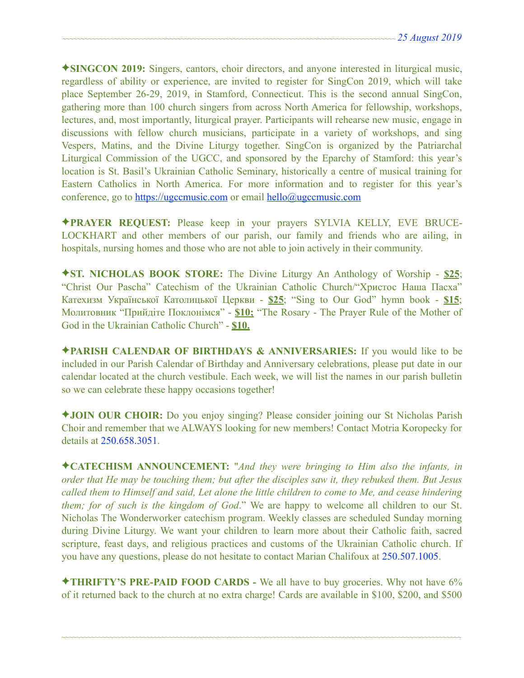✦**SINGCON 2019:** Singers, cantors, choir directors, and anyone interested in liturgical music, regardless of ability or experience, are invited to register for SingCon 2019, which will take place September 26-29, 2019, in Stamford, Connecticut. This is the second annual SingCon, gathering more than 100 church singers from across North America for fellowship, workshops, lectures, and, most importantly, liturgical prayer. Participants will rehearse new music, engage in discussions with fellow church musicians, participate in a variety of workshops, and sing Vespers, Matins, and the Divine Liturgy together. SingCon is organized by the Patriarchal Liturgical Commission of the UGCC, and sponsored by the Eparchy of Stamford: this year's location is St. Basil's Ukrainian Catholic Seminary, historically a centre of musical training for Eastern Catholics in North America. For more information and to register for this year's conference, go to [https://ugccmusic.com](https://ugccmusic.com/) or email [hello@ugccmusic.com](mailto:hello@ugccmusic.com)

✦**PRAYER REQUEST:** Please keep in your prayers SYLVIA KELLY, EVE BRUCE-LOCKHART and other members of our parish, our family and friends who are ailing, in hospitals, nursing homes and those who are not able to join actively in their community.

✦**ST. NICHOLAS BOOK STORE:** The Divine Liturgy An Anthology of Worship - **\$25**; "Christ Our Pascha" Catechism of the Ukrainian Catholic Church/"Христос Наша Пасха" Катехизм Української Католицької Церкви - **\$25**; "Sing to Our God" hymn book - **\$15**; Молитовник "Прийдіте Поклонімся" - **\$10;** "The Rosary - The Prayer Rule of the Mother of God in the Ukrainian Catholic Church" - **\$10.** 

✦**PARISH CALENDAR OF BIRTHDAYS & ANNIVERSARIES:** If you would like to be included in our Parish Calendar of Birthday and Anniversary celebrations, please put date in our calendar located at the church vestibule. Each week, we will list the names in our parish bulletin so we can celebrate these happy occasions together!

✦**JOIN OUR CHOIR:** Do you enjoy singing? Please consider joining our St Nicholas Parish Choir and remember that we ALWAYS looking for new members! Contact Motria Koropecky for details at 250.658.3051.

✦**CATECHISM ANNOUNCEMENT:** "*And they were bringing to Him also the infants, in order that He may be touching them; but after the disciples saw it, they rebuked them. But Jesus called them to Himself and said, Let alone the little children to come to Me, and cease hindering them; for of such is the kingdom of God*." We are happy to welcome all children to our St. Nicholas The Wonderworker catechism program. Weekly classes are scheduled Sunday morning during Divine Liturgy. We want your children to learn more about their Catholic faith, sacred scripture, feast days, and religious practices and customs of the Ukrainian Catholic church. If you have any questions, please do not hesitate to contact Marian Chalifoux at 250.507.1005.

✦**THRIFTY'S PRE-PAID FOOD CARDS -** We all have to buy groceries. Why not have 6% of it returned back to the church at no extra charge! Cards are available in \$100, \$200, and \$500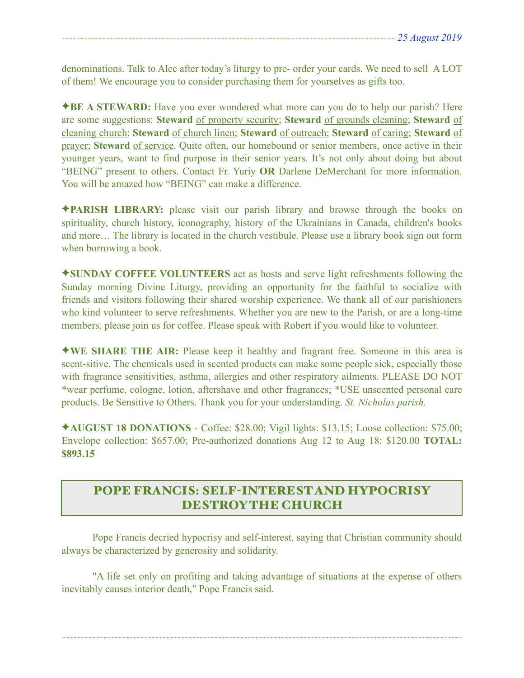denominations. Talk to Alec after today's liturgy to pre- order your cards. We need to sell A LOT of them! We encourage you to consider purchasing them for yourselves as gifts too.

✦**BE A STEWARD:** Have you ever wondered what more can you do to help our parish? Here are some suggestions: **Steward** of property security; **Steward** of grounds cleaning; **Steward** of cleaning church; **Steward** of church linen; **Steward** of outreach; **Steward** of caring; **Steward** of prayer; **Steward** of service. Quite often, our homebound or senior members, once active in their younger years, want to find purpose in their senior years. It's not only about doing but about "BEING" present to others. Contact Fr. Yuriy **OR** Darlene DeMerchant for more information. You will be amazed how "BEING" can make a difference.

✦**PARISH LIBRARY:** please visit our parish library and browse through the books on spirituality, church history, iconography, history of the Ukrainians in Canada, children's books and more… The library is located in the church vestibule. Please use a library book sign out form when borrowing a book.

✦**SUNDAY COFFEE VOLUNTEERS** act as hosts and serve light refreshments following the Sunday morning Divine Liturgy, providing an opportunity for the faithful to socialize with friends and visitors following their shared worship experience. We thank all of our parishioners who kind volunteer to serve refreshments. Whether you are new to the Parish, or are a long-time members, please join us for coffee. Please speak with Robert if you would like to volunteer.

✦**WE SHARE THE AIR:** Please keep it healthy and fragrant free. Someone in this area is scent-sitive. The chemicals used in scented products can make some people sick, especially those with fragrance sensitivities, asthma, allergies and other respiratory ailments. PLEASE DO NOT \*wear perfume, cologne, lotion, aftershave and other fragrances; \*USE unscented personal care products. Be Sensitive to Others. Thank you for your understanding. *St. Nicholas parish.* 

✦**AUGUST 18 DONATIONS** - Coffee: \$28.00; Vigil lights: \$13.15; Loose collection: \$75.00; Envelope collection: \$657.00; Pre-authorized donations Aug 12 to Aug 18: \$120.00 **TOTAL: \$893.15**

# POPE FRANCIS: SELF-INTEREST AND HYPOCRISY DESTROY THE CHURCH

 Pope Francis decried hypocrisy and self-interest, saying that Christian community should always be characterized by generosity and solidarity.

 "A life set only on profiting and taking advantage of situations at the expense of others inevitably causes interior death," Pope Francis said.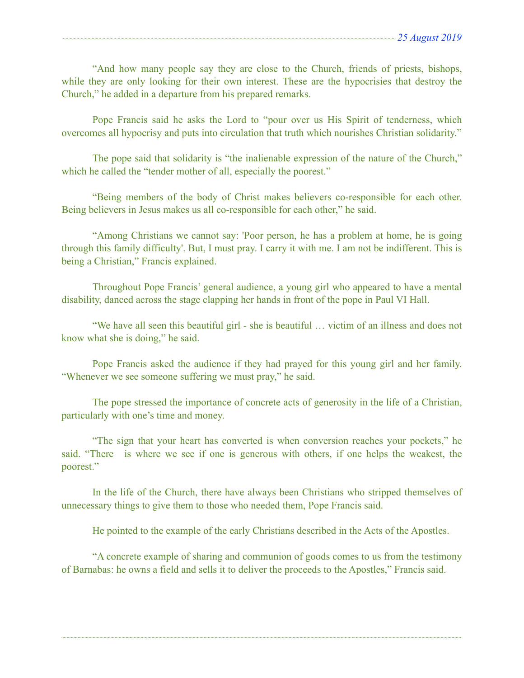"And how many people say they are close to the Church, friends of priests, bishops, while they are only looking for their own interest. These are the hypocrisies that destroy the Church," he added in a departure from his prepared remarks.

 Pope Francis said he asks the Lord to "pour over us His Spirit of tenderness, which overcomes all hypocrisy and puts into circulation that truth which nourishes Christian solidarity."

 The pope said that solidarity is "the inalienable expression of the nature of the Church," which he called the "tender mother of all, especially the poorest."

 "Being members of the body of Christ makes believers co-responsible for each other. Being believers in Jesus makes us all co-responsible for each other," he said.

 "Among Christians we cannot say: 'Poor person, he has a problem at home, he is going through this family difficulty'. But, I must pray. I carry it with me. I am not be indifferent. This is being a Christian," Francis explained.

 Throughout Pope Francis' general audience, a young girl who appeared to have a mental disability, danced across the stage clapping her hands in front of the pope in Paul VI Hall.

 "We have all seen this beautiful girl - she is beautiful … victim of an illness and does not know what she is doing," he said.

 Pope Francis asked the audience if they had prayed for this young girl and her family. "Whenever we see someone suffering we must pray," he said.

 The pope stressed the importance of concrete acts of generosity in the life of a Christian, particularly with one's time and money.

 "The sign that your heart has converted is when conversion reaches your pockets," he said. "There is where we see if one is generous with others, if one helps the weakest, the poorest."

 In the life of the Church, there have always been Christians who stripped themselves of unnecessary things to give them to those who needed them, Pope Francis said.

He pointed to the example of the early Christians described in the Acts of the Apostles.

 "A concrete example of sharing and communion of goods comes to us from the testimony of Barnabas: he owns a field and sells it to deliver the proceeds to the Apostles," Francis said.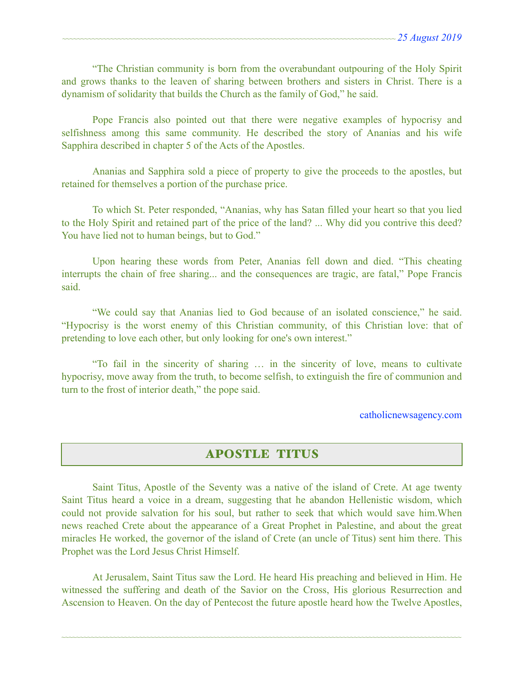"The Christian community is born from the overabundant outpouring of the Holy Spirit and grows thanks to the leaven of sharing between brothers and sisters in Christ. There is a dynamism of solidarity that builds the Church as the family of God," he said.

 Pope Francis also pointed out that there were negative examples of hypocrisy and selfishness among this same community. He described the story of Ananias and his wife Sapphira described in chapter 5 of the Acts of the Apostles.

 Ananias and Sapphira sold a piece of property to give the proceeds to the apostles, but retained for themselves a portion of the purchase price.

 To which St. Peter responded, "Ananias, why has Satan filled your heart so that you lied to the Holy Spirit and retained part of the price of the land? ... Why did you contrive this deed? You have lied not to human beings, but to God."

 Upon hearing these words from Peter, Ananias fell down and died. "This cheating interrupts the chain of free sharing... and the consequences are tragic, are fatal," Pope Francis said.

 "We could say that Ananias lied to God because of an isolated conscience," he said. "Hypocrisy is the worst enemy of this Christian community, of this Christian love: that of pretending to love each other, but only looking for one's own interest."

 "To fail in the sincerity of sharing … in the sincerity of love, means to cultivate hypocrisy, move away from the truth, to become selfish, to extinguish the fire of communion and turn to the frost of interior death," the pope said.

[catholicnewsagency.com](http://catholicnewsagency.com) 

## APOSTLE TITUS

 Saint Titus, Apostle of the Seventy was a native of the island of Crete. At age twenty Saint Titus heard a voice in a dream, suggesting that he abandon Hellenistic wisdom, which could not provide salvation for his soul, but rather to seek that which would save him.When news reached Crete about the appearance of a Great Prophet in Palestine, and about the great miracles He worked, the governor of the island of Crete (an uncle of Titus) sent him there. This Prophet was the Lord Jesus Christ Himself.

At Jerusalem, Saint Titus saw the Lord. He heard His preaching and believed in Him. He witnessed the suffering and death of the Savior on the Cross, His glorious Resurrection and Ascension to Heaven. On the day of Pentecost the future apostle heard how the Twelve Apostles,